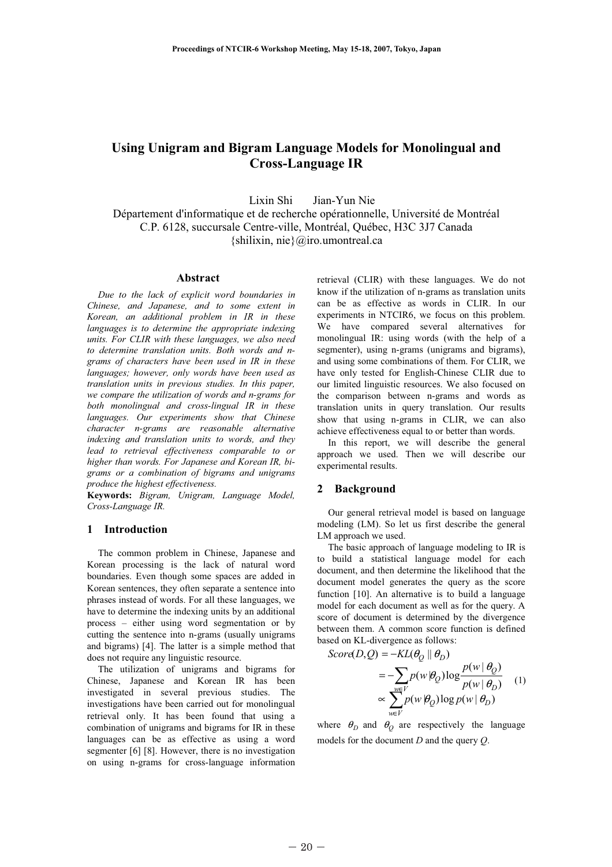# Using Unigram and Bigram Language Models for Monolingual and Cross-Language IR

Lixin Shi Jian-Yun Nie

Département d'informatique et de recherche opérationnelle, Université de Montréal C.P. 6128, succursale Centre-ville, Montréal, Québec, H3C 3J7 Canada {shilixin, nie}@iro.umontreal.ca

# Abstract

Due to the lack of explicit word boundaries in Chinese, and Japanese, and to some extent in Korean, an additional problem in IR in these languages is to determine the appropriate indexing units. For CLIR with these languages, we also need to determine translation units. Both words and ngrams of characters have been used in IR in these languages; however, only words have been used as translation units in previous studies. In this paper, we compare the utilization of words and n-grams for both monolingual and cross-lingual IR in these languages. Our experiments show that Chinese character n-grams are reasonable alternative indexing and translation units to words, and they lead to retrieval effectiveness comparable to or higher than words. For Japanese and Korean IR, bigrams or a combination of bigrams and unigrams produce the highest effectiveness.

Keywords: Bigram, Unigram, Language Model, Cross-Language IR.

# 1 Introduction

The common problem in Chinese, Japanese and Korean processing is the lack of natural word boundaries. Even though some spaces are added in Korean sentences, they often separate a sentence into phrases instead of words. For all these languages, we have to determine the indexing units by an additional process – either using word segmentation or by cutting the sentence into n-grams (usually unigrams and bigrams) [4]. The latter is a simple method that does not require any linguistic resource.

The utilization of unigrams and bigrams for Chinese, Japanese and Korean IR has been investigated in several previous studies. The investigations have been carried out for monolingual retrieval only. It has been found that using a combination of unigrams and bigrams for IR in these languages can be as effective as using a word segmenter [6] [8]. However, there is no investigation on using n-grams for cross-language information

retrieval (CLIR) with these languages. We do not know if the utilization of n-grams as translation units can be as effective as words in CLIR. In our experiments in NTCIR6, we focus on this problem. We have compared several alternatives for monolingual IR: using words (with the help of a segmenter), using n-grams (unigrams and bigrams), and using some combinations of them. For CLIR, we have only tested for English-Chinese CLIR due to our limited linguistic resources. We also focused on the comparison between n-grams and words as translation units in query translation. Our results show that using n-grams in CLIR, we can also achieve effectiveness equal to or better than words.

In this report, we will describe the general approach we used. Then we will describe our experimental results.

# 2 Background

Our general retrieval model is based on language modeling (LM). So let us first describe the general LM approach we used.

The basic approach of language modeling to IR is to build a statistical language model for each document, and then determine the likelihood that the document model generates the query as the score function [10]. An alternative is to build a language model for each document as well as for the query. A score of document is determined by the divergence between them. A common score function is defined based on KL-divergence as follows:

$$
Score(D,Q) = -KL(\theta_Q \parallel \theta_D)
$$
  
= 
$$
-\sum_{w \in V} p(w | \theta_Q) \log \frac{p(w | \theta_Q)}{p(w | \theta_D)}
$$
 (1)  

$$
\propto \sum_{w \in V}^{W} p(w | \theta_Q) \log p(w | \theta_D)
$$

where  $\theta_D$  and  $\theta_Q$  are respectively the language models for the document D and the query Q.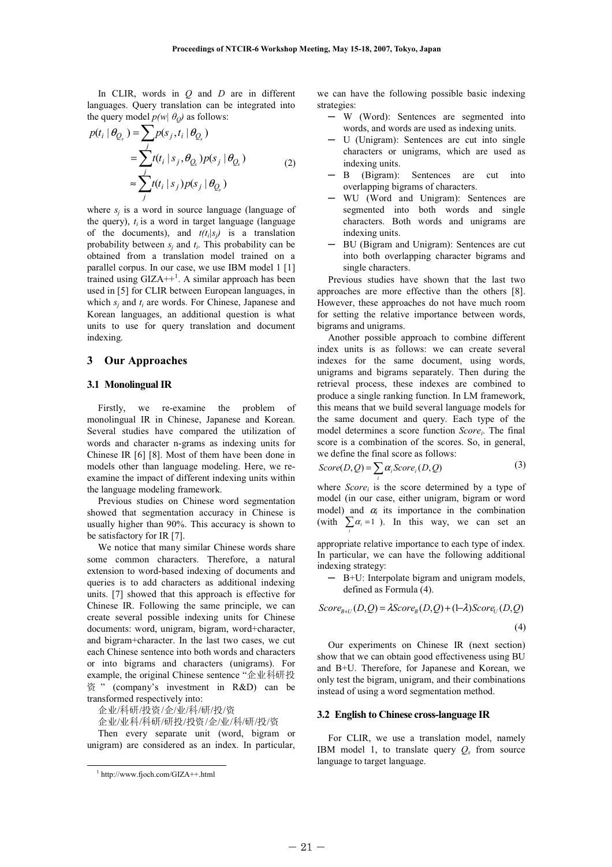In CLIR, words in  $O$  and  $D$  are in different languages. Query translation can be integrated into

the query model 
$$
p(w | \theta_Q)
$$
 as follows:  
\n
$$
p(t_i | \theta_{Q_s}) = \sum_j p(s_j, t_i | \theta_{Q_s})
$$
\n
$$
= \sum_j t(t_i | s_j, \theta_{Q_s}) p(s_j | \theta_{Q_s})
$$
\n
$$
\approx \sum_j t(t_i | s_j) p(s_j | \theta_{Q_s})
$$
\n(2)

where  $s_i$  is a word in source language (language of the query),  $t_i$  is a word in target language (language of the documents), and  $t(t_i|s_i)$  is a translation probability between  $s_i$  and  $t_i$ . This probability can be obtained from a translation model trained on a parallel corpus. In our case, we use IBM model 1 [1] trained using  $GIZA++^1$ . A similar approach has been used in [5] for CLIR between European languages, in which  $s_i$  and  $t_i$  are words. For Chinese, Japanese and Korean languages, an additional question is what units to use for query translation and document indexing.

## 3 Our Approaches

#### 3.1 Monolingual IR

Firstly, we re-examine the problem of monolingual IR in Chinese, Japanese and Korean. Several studies have compared the utilization of words and character n-grams as indexing units for Chinese IR [6] [8]. Most of them have been done in models other than language modeling. Here, we reexamine the impact of different indexing units within the language modeling framework.

Previous studies on Chinese word segmentation showed that segmentation accuracy in Chinese is usually higher than 90%. This accuracy is shown to be satisfactory for IR [7].

We notice that many similar Chinese words share some common characters. Therefore, a natural extension to word-based indexing of documents and queries is to add characters as additional indexing units. [7] showed that this approach is effective for Chinese IR. Following the same principle, we can create several possible indexing units for Chinese documents: word, unigram, bigram, word+character, and bigram+character. In the last two cases, we cut each Chinese sentence into both words and characters or into bigrams and characters (unigrams). For example, the original Chinese sentence "企业科研投  $\frac{dS}{dt}$  (company's investment in R&D) can be<br> $\frac{dS}{dt}$  (company's investment in R&D) can be transformed respectively into:

/科研/投资/企/业/科/研/投/资<br>小国/利研/研究/かぶ/小司

-/-/////-////

Then every separate unit (word, bigram or unigram) are considered as an index. In particular,

we can have the following possible basic indexing strategies:

- ─ W (Word): Sentences are segmented into words, and words are used as indexing units.
- ─ U (Unigram): Sentences are cut into single characters or unigrams, which are used as indexing units.
- ─ B (Bigram): Sentences are cut into overlapping bigrams of characters.
- ─ WU (Word and Unigram): Sentences are segmented into both words and single characters. Both words and unigrams are indexing units.
- ─ BU (Bigram and Unigram): Sentences are cut into both overlapping character bigrams and single characters.

Previous studies have shown that the last two approaches are more effective than the others [8]. However, these approaches do not have much room for setting the relative importance between words, bigrams and unigrams.

Another possible approach to combine different index units is as follows: we can create several indexes for the same document, using words, unigrams and bigrams separately. Then during the retrieval process, these indexes are combined to produce a single ranking function. In LM framework, this means that we build several language models for the same document and query. Each type of the model determines a score function Score,. The final score is a combination of the scores. So, in general, we define the final score as follows:

$$
Score(D,Q) = \sum_{i} \alpha_i Score_i(D,Q)
$$
 (3)

where  $Score_i$  is the score determined by a type of model (in our case, either unigram, bigram or word model) and  $\alpha_i$  its importance in the combination (with  $\sum \alpha_i = 1$ ). In this way, we can set an i

appropriate relative importance to each type of index. In particular, we can have the following additional indexing strategy:

─ B+U: Interpolate bigram and unigram models, defined as Formula (4).

$$
Score_{B+U}(D,Q) = \lambda Score_B(D,Q) + (1-\lambda)Score_U(D,Q)
$$
\n(4)

Our experiments on Chinese IR (next section) show that we can obtain good effectiveness using BU and B+U. Therefore, for Japanese and Korean, we only test the bigram, unigram, and their combinations instead of using a word segmentation method.

## 3.2 English to Chinese cross-language IR

For CLIR, we use a translation model, namely IBM model 1, to translate query  $Q_s$  from source language to target language.

 <sup>1</sup> http://www.fjoch.com/GIZA++.html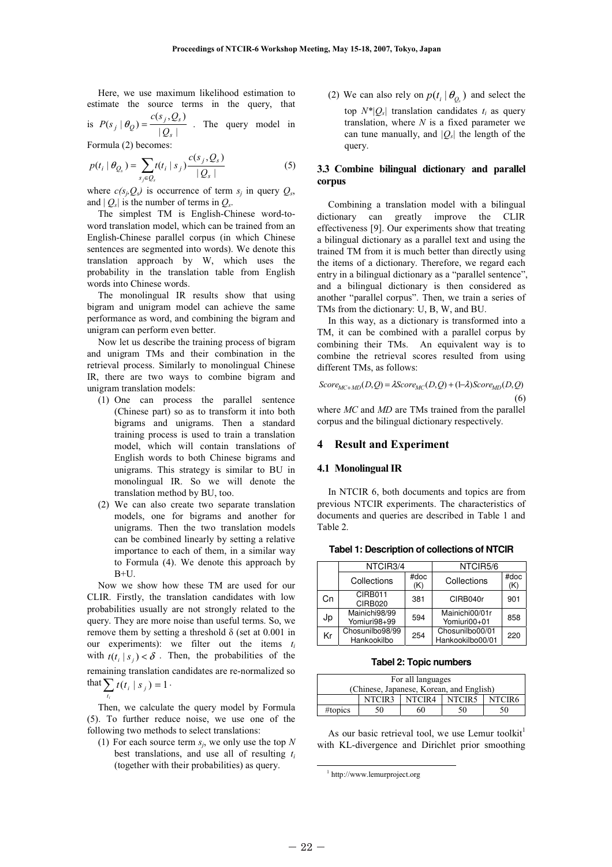Here, we use maximum likelihood estimation to estimate the source terms in the query, that

is  $P(s_j | \theta_Q) = \frac{c(s_j, Q_s)}{|Q_s|}$ s  $P(s_j | \theta_Q) = \frac{c(s_j, Q_s)}{|\mathcal{Q}_s|}$ . The query model in

Formula (2) becomes:

$$
p(t_i | \theta_{Q_s}) = \sum_{s_j \in Q_s} t(t_i | s_j) \frac{c(s_j, Q_s)}{|Q_s|}
$$
 (5)

where  $c(s_i, Q_s)$  is occurrence of term  $s_i$  in query  $Q_s$ , and  $|Q_s|$  is the number of terms in  $Q_s$ .

The simplest TM is English-Chinese word-toword translation model, which can be trained from an English-Chinese parallel corpus (in which Chinese sentences are segmented into words). We denote this translation approach by W, which uses the probability in the translation table from English words into Chinese words.

The monolingual IR results show that using bigram and unigram model can achieve the same performance as word, and combining the bigram and unigram can perform even better.

Now let us describe the training process of bigram and unigram TMs and their combination in the retrieval process. Similarly to monolingual Chinese IR, there are two ways to combine bigram and unigram translation models:

- (1) One can process the parallel sentence (Chinese part) so as to transform it into both bigrams and unigrams. Then a standard training process is used to train a translation model, which will contain translations of English words to both Chinese bigrams and unigrams. This strategy is similar to BU in monolingual IR. So we will denote the translation method by BU, too.
- (2) We can also create two separate translation models, one for bigrams and another for unigrams. Then the two translation models can be combined linearly by setting a relative importance to each of them, in a similar way to Formula (4). We denote this approach by B+U.

Now we show how these TM are used for our CLIR. Firstly, the translation candidates with low probabilities usually are not strongly related to the query. They are more noise than useful terms. So, we remove them by setting a threshold δ (set at 0.001 in our experiments): we filter out the items  $t_i$ with  $t(t_i | s_i) < \delta$ . Then, the probabilities of the remaining translation candidates are re-normalized so that  $\sum_{i} t(t_i | s_i) = 1$  $t(t_i | s_j) = 1$ .

Then, we calculate the query model by Formula (5). To further reduce noise, we use one of the following two methods to select translations:

 $t_i$ 

(1) For each source term  $s_i$ , we only use the top N best translations, and use all of resulting  $t_i$ (together with their probabilities) as query.

(2) We can also rely on  $p(t_i | \theta_o)$  and select the top  $N^*|Q_s|$  translation candidates  $t_i$  as query translation, where  $N$  is a fixed parameter we can tune manually, and  $|Q_s|$  the length of the query.

# 3.3 Combine bilingual dictionary and parallel corpus

Combining a translation model with a bilingual dictionary can greatly improve the CLIR effectiveness [9]. Our experiments show that treating a bilingual dictionary as a parallel text and using the trained TM from it is much better than directly using the items of a dictionary. Therefore, we regard each entry in a bilingual dictionary as a "parallel sentence", and a bilingual dictionary is then considered as another "parallel corpus". Then, we train a series of TMs from the dictionary: U, B, W, and BU.

In this way, as a dictionary is transformed into a TM, it can be combined with a parallel corpus by combining their TMs. An equivalent way is to combine the retrieval scores resulted from using different TMs, as follows:

$$
Score_{MC+MD}(D,Q) = \lambda Score_{MC}(D,Q) + (1-\lambda) Score_{MD}(D,Q)
$$
\n(6)

where MC and MD are TMs trained from the parallel corpus and the bilingual dictionary respectively.

# **Result and Experiment**

# 4.1 Monolingual IR

Kr Chosunilbo98/99

In NTCIR 6, both documents and topics are from previous NTCIR experiments. The characteristics of documents and queries are described in Table 1 and Table 2.

|    | NTCIR3/4                      |             | NTCIR5/6                       |             |  |  |  |
|----|-------------------------------|-------------|--------------------------------|-------------|--|--|--|
|    | Collections                   | #doc<br>(K) | Collections                    | #doc<br>(K) |  |  |  |
| Cn | CIRB011<br>CIRB020            | 381         | CIRB040r                       | 901         |  |  |  |
| Jp | Mainichi98/99<br>Yomiuri98+99 | 594         | Mainichi00/01r<br>Yomiuri00+01 | 858         |  |  |  |

**Tabel 1: Description of collections of NTCIR** 

**Tabel 2: Topic numbers** 

Hankookilbo 254 Chosunilbo00/01 Hankookilbo00/01 <sup>220</sup>

| For all languages                        |                                      |    |    |    |  |  |  |  |  |  |
|------------------------------------------|--------------------------------------|----|----|----|--|--|--|--|--|--|
| (Chinese, Japanese, Korean, and English) |                                      |    |    |    |  |  |  |  |  |  |
|                                          | NTCIR3<br>NTCIR4<br>NTCIR5<br>NTCIR6 |    |    |    |  |  |  |  |  |  |
| #topics                                  | 50                                   | 60 | 50 | 50 |  |  |  |  |  |  |

As our basic retrieval tool, we use Lemur toolkit<sup>1</sup> with KL-divergence and Dirichlet prior smoothing

 <sup>1</sup> http://www.lemurproject.org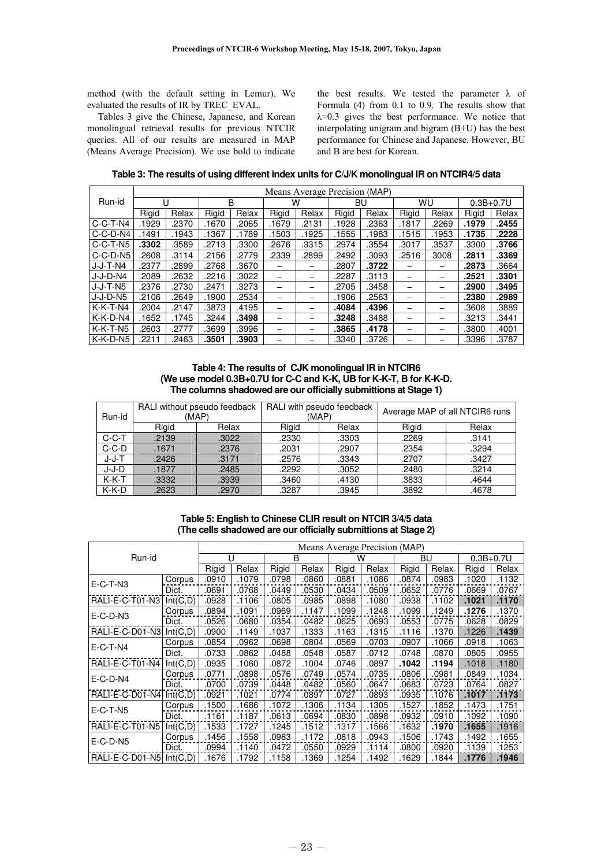method (with the default setting in Lemur). We evaluated the results of IR by TREC\_EVAL.

Tables 3 give the Chinese, Japanese, and Korean monolingual retrieval results for previous NTCIR queries. All of our results are measured in MAP (Means Average Precision). We use bold to indicate the best results. We tested the parameter  $\lambda$  of Formula (4) from 0.1 to 0.9. The results show that  $\lambda$ =0.3 gives the best performance. We notice that interpolating unigram and bigram (B+U) has the best performance for Chinese and Japanese. However, BU and B are best for Korean.

**Table 3: The results of using different index units for C/J/K monolingual IR on NTCIR4/5 data** 

|            | Means Average Precision (MAP) |       |       |       |       |       |       |       |       |       |               |       |  |
|------------|-------------------------------|-------|-------|-------|-------|-------|-------|-------|-------|-------|---------------|-------|--|
| Run-id     | U                             |       | B     |       | W     |       | BU    |       | WU    |       | $0.3B + 0.7U$ |       |  |
|            | Rigid                         | Relax | Rigid | Relax | Rigid | Relax | Rigid | Relax | Rigid | Relax | Rigid         | Relax |  |
| $C-C-T-N4$ | 1929                          | .2370 | .1670 | .2065 | .1679 | .2131 | .1928 | .2363 | .1817 | .2269 | .1979         | .2455 |  |
| C-C-D-N4   | 1491.                         | .1943 | .1367 | .1789 | .1503 | .1925 | .1555 | .1983 | .1515 | .1953 | .1735         | .2228 |  |
| $C-C-T-N5$ | .3302                         | .3589 | .2713 | .3300 | .2676 | .3315 | .2974 | .3554 | .3017 | .3537 | .3300         | .3766 |  |
| $C-C-D-NS$ | .2608                         | .3114 | .2156 | .2779 | .2339 | .2899 | .2492 | .3093 | .2516 | 3008  | .2811         | .3369 |  |
| J-J-T-N4   | .2377                         | .2899 | .2768 | .3670 | -     |       | .2807 | .3722 |       | -     | .2873         | .3664 |  |
| $J-J-D-NA$ | .2089                         | .2632 | .2216 | .3022 | -     | -     | .2287 | .3113 |       | -     | .2521         | .3301 |  |
| J-J-T-N5   | .2376                         | .2730 | .2471 | .3273 | -     | -     | .2705 | .3458 |       | -     | .2900         | .3495 |  |
| J-J-D-N5   | .2106                         | .2649 | .1900 | .2534 |       |       | .1906 | .2563 |       | -     | .2380         | .2989 |  |
| $K-K-T-N4$ | .2004                         | .2147 | .3873 | .4195 |       | -     | .4084 | .4396 |       | -     | .3608         | .3889 |  |
| K-K-D-N4   | .1652                         | .1745 | .3244 | .3498 |       |       | .3248 | .3488 |       |       | .3213         | .3441 |  |
| $K-K-T-N5$ | .2603                         | .2777 | .3699 | .3996 | -     | -     | .3865 | .4178 |       | -     | .3800         | .4001 |  |
| $K-K-D-NS$ | .2211                         | 2463  | .3501 | .3903 |       |       | .3340 | .3726 |       |       | .3396         | .3787 |  |

**Table 4: The results of CJK monolingual IR in NTCIR6 (We use model 0.3B+0.7U for C-C and K-K, UB for K-K-T, B for K-K-D. The columns shadowed are our officially submittions at Stage 1)** 

| Run-id  |       | RALI without pseudo feedback<br>(MAP) |       | RALI with pseudo feedback<br>(MAP) | Average MAP of all NTCIR6 runs |       |  |  |
|---------|-------|---------------------------------------|-------|------------------------------------|--------------------------------|-------|--|--|
|         | Rigid | Relax                                 | Rigid | Relax                              | Rigid                          | Relax |  |  |
| $C-C-T$ | .2139 | .3022                                 | .2330 | .3303                              | .2269                          | .3141 |  |  |
| $C-C-D$ | .1671 | .2376                                 | .2031 | .2907                              | .2354                          | .3294 |  |  |
| $J-J-T$ | .2426 | .3171                                 | .2576 | .3343                              | .2707                          | .3427 |  |  |
| J-J-D   | .1877 | .2485                                 | .2292 | .3052                              | .2480                          | .3214 |  |  |
| $K-K-T$ | .3332 | .3939                                 | .3460 | .4130                              | .3833                          | .4644 |  |  |
| $K-K-D$ | .2623 | .2970                                 | .3287 | .3945                              | .3892                          | .4678 |  |  |

# **Table 5: English to Chinese CLIR result on NTCIR 3/4/5 data (The cells shadowed are our officially submittions at Stage 2)**

| Run-id                   |           | Means Average Precision (MAP) |       |       |       |       |       |       |       |               |       |
|--------------------------|-----------|-------------------------------|-------|-------|-------|-------|-------|-------|-------|---------------|-------|
|                          |           | U                             |       | B     |       | w     |       | BU    |       | $0.3B + 0.7U$ |       |
|                          |           | Rigid                         | Relax | Rigid | Relax | Rigid | Relax | Rigid | Relax | Rigid         | Relax |
| $E-C-T-N3$               | Corpus    | .0910                         | .1079 | .0798 | .0860 | .0881 | .1086 | .0874 | .0983 | .1020         | .1132 |
|                          | Dict.     | .0691                         | .0768 | .0449 | .0530 | .0434 | .0509 | .0652 | .0776 | .0669         | .0767 |
| RALI-E-C-T01-N3          | Int(C, D) | .0928                         | .1106 | .0805 | .0985 | .0898 | .1080 | .0938 | .1102 | .1021         | .1170 |
| $E-C-D-N3$               | Corpus    | .0894                         | .1091 | .0969 | .1147 | .1099 | .1248 | .1099 | .1249 | .1276         | .1370 |
|                          | Dict.     | .0526                         | .0680 | .0354 | .0482 | .0625 | .0693 | .0553 | .0775 | .0628         | .0829 |
| RALI-E-C-D01-N3          | Int(C, D) | .0900                         | .1149 | .1037 | .1333 | .1163 | .1315 | .1116 | .1370 | .1226         | .1439 |
| $E-C-T-N4$               | Corpus    | .0854                         | .0962 | .0698 | .0804 | .0569 | .0703 | .0907 | .1066 | .0918         | .1063 |
|                          | Dict.     | .0733                         | .0862 | .0488 | .0548 | .0587 | .0712 | .0748 | .0870 | .0805         | .0955 |
| RALI-E-C-T01-N4          | Int(C, D) | .0935                         | .1060 | .0872 | .1004 | .0746 | .0897 | .1042 | .1194 | .1018         | .1180 |
| $E-C-D-N4$               | Corpus    | .0771                         | .0898 | .0576 | .0749 | .0574 | .0735 | .0806 | .0981 | .0849         | .1034 |
|                          | Dict.     | .0700                         | .0739 | .0448 | .0482 | .0560 | .0647 | .0683 | .0723 | .0764         | .0827 |
| RALI-E-C-D01-N4          | Int(C, D) | .0921                         | .1021 | .0774 | .0897 | .0727 | .0893 | .0935 | .1076 | .1017         | .1173 |
| $E-C-T-N5$               | Corpus    | .1500                         | .1686 | .1072 | .1306 | .1134 | .1305 | .1527 | .1852 | .1473         | .1751 |
|                          | Dict.     | .1161                         | .1187 | .0613 | .0694 | .0830 | .0898 | .0932 | .0910 | .1092         | .1090 |
| RALI-E-C-T01-N5          | Int(C, D) | .1533                         | .1727 | .1245 | .1512 | .1317 | .1566 | .1632 | .1970 | .1655         | .1916 |
| $E-C-D-N5$               | Corpus    | .1456                         | .1558 | .0983 | .1172 | .0818 | .0943 | .1506 | .1743 | .1492         | .1655 |
|                          | Dict.     | .0994                         | .1140 | .0472 | .0550 | .0929 | .1114 | .0800 | .0920 | .1139         | .1253 |
| RALI-E-C-D01-N5 Int(C,D) |           | .1676                         | .1792 | .1158 | .1369 | .1254 | .1492 | .1629 | .1844 | .1776         | .1946 |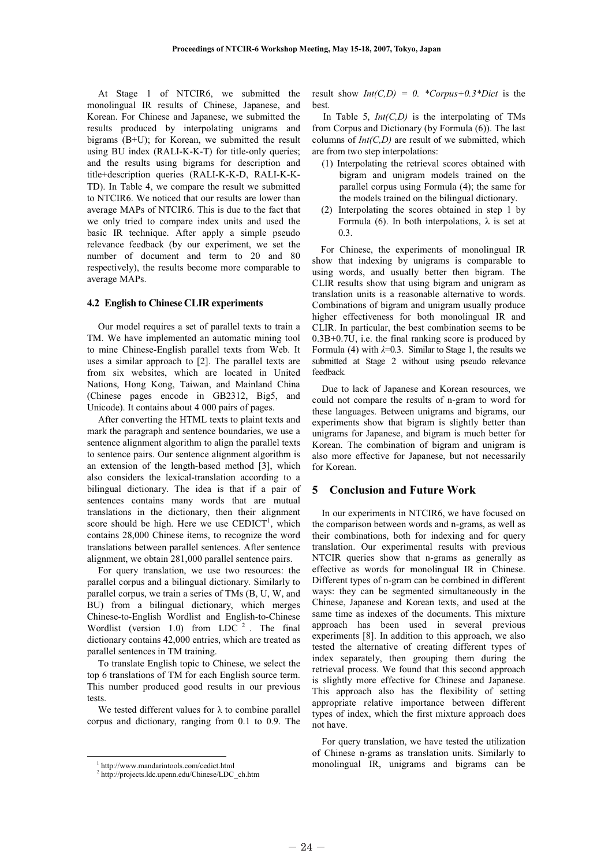At Stage 1 of NTCIR6, we submitted the monolingual IR results of Chinese, Japanese, and Korean. For Chinese and Japanese, we submitted the results produced by interpolating unigrams and bigrams (B+U); for Korean, we submitted the result using BU index (RALI-K-K-T) for title-only queries; and the results using bigrams for description and title+description queries (RALI-K-K-D, RALI-K-K-TD). In Table 4, we compare the result we submitted to NTCIR6. We noticed that our results are lower than average MAPs of NTCIR6. This is due to the fact that we only tried to compare index units and used the basic IR technique. After apply a simple pseudo relevance feedback (by our experiment, we set the number of document and term to 20 and 80 respectively), the results become more comparable to average MAPs.

### 4.2 English to Chinese CLIR experiments

Our model requires a set of parallel texts to train a TM. We have implemented an automatic mining tool to mine Chinese-English parallel texts from Web. It uses a similar approach to [2]. The parallel texts are from six websites, which are located in United Nations, Hong Kong, Taiwan, and Mainland China (Chinese pages encode in GB2312, Big5, and Unicode). It contains about 4 000 pairs of pages.

After converting the HTML texts to plaint texts and mark the paragraph and sentence boundaries, we use a sentence alignment algorithm to align the parallel texts to sentence pairs. Our sentence alignment algorithm is an extension of the length-based method [3], which also considers the lexical-translation according to a bilingual dictionary. The idea is that if a pair of sentences contains many words that are mutual translations in the dictionary, then their alignment score should be high. Here we use  $CEDICT<sup>1</sup>$ , which contains 28,000 Chinese items, to recognize the word translations between parallel sentences. After sentence alignment, we obtain 281,000 parallel sentence pairs.

For query translation, we use two resources: the parallel corpus and a bilingual dictionary. Similarly to parallel corpus, we train a series of TMs (B, U, W, and BU) from a bilingual dictionary, which merges Chinese-to-English Wordlist and English-to-Chinese Wordlist (version 1.0) from LDC  $2$ . The final dictionary contains 42,000 entries, which are treated as parallel sentences in TM training.

To translate English topic to Chinese, we select the top 6 translations of TM for each English source term. This number produced good results in our previous tests.

We tested different values for  $\lambda$  to combine parallel corpus and dictionary, ranging from 0.1 to 0.9. The result show  $Int(C, D) = 0$ . \*Corpus+0.3\*Dict is the best.

In Table 5,  $Int(C, D)$  is the interpolating of TMs from Corpus and Dictionary (by Formula (6)). The last columns of  $Int(C, D)$  are result of we submitted, which are from two step interpolations:

- (1) Interpolating the retrieval scores obtained with bigram and unigram models trained on the parallel corpus using Formula (4); the same for the models trained on the bilingual dictionary.
- (2) Interpolating the scores obtained in step 1 by Formula (6). In both interpolations,  $\lambda$  is set at 0.3.

For Chinese, the experiments of monolingual IR show that indexing by unigrams is comparable to using words, and usually better then bigram. The CLIR results show that using bigram and unigram as translation units is a reasonable alternative to words. Combinations of bigram and unigram usually produce higher effectiveness for both monolingual IR and CLIR. In particular, the best combination seems to be 0.3B+0.7U, i.e. the final ranking score is produced by Formula (4) with  $\lambda=0.3$ . Similar to Stage 1, the results we submitted at Stage 2 without using pseudo relevance feedback.

Due to lack of Japanese and Korean resources, we could not compare the results of n-gram to word for these languages. Between unigrams and bigrams, our experiments show that bigram is slightly better than unigrams for Japanese, and bigram is much better for Korean. The combination of bigram and unigram is also more effective for Japanese, but not necessarily for Korean.

# 5 Conclusion and Future Work

In our experiments in NTCIR6, we have focused on the comparison between words and n-grams, as well as their combinations, both for indexing and for query translation. Our experimental results with previous NTCIR queries show that n-grams as generally as effective as words for monolingual IR in Chinese. Different types of n-gram can be combined in different ways: they can be segmented simultaneously in the Chinese, Japanese and Korean texts, and used at the same time as indexes of the documents. This mixture approach has been used in several previous experiments [8]. In addition to this approach, we also tested the alternative of creating different types of index separately, then grouping them during the retrieval process. We found that this second approach is slightly more effective for Chinese and Japanese. This approach also has the flexibility of setting appropriate relative importance between different types of index, which the first mixture approach does not have.

For query translation, we have tested the utilization of Chinese n-grams as translation units. Similarly to monolingual IR, unigrams and bigrams can be

 <sup>1</sup> http://www.mandarintools.com/cedict.html

<sup>2</sup> http://projects.ldc.upenn.edu/Chinese/LDC\_ch.htm